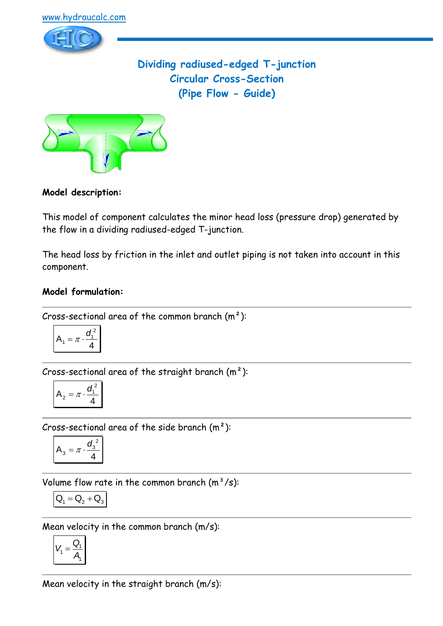

**Dividing radiused-edged T-junction Circular Cross-Section (Pipe Flow - Guide)**



## **Model description:**

This model of component calculates the minor head loss (pressure drop) generated by the flow in a dividing radiused-edged T-junction.

The head loss by friction in the inlet and outlet piping is not taken into account in this component.

### **Model formulation:**

Cross-sectional area of the common branch  $(m<sup>2</sup>)$ :

$$
A_1 = \pi \cdot \frac{d_1^2}{4}
$$

Cross-sectional area of the straight branch  $(m<sup>2</sup>)$ :

$$
A_2 = \pi \cdot \frac{d_1^{\,2}}{4}
$$

Cross-sectional area of the side branch  $(m<sup>2</sup>)$ :

$$
A_3 = \pi \cdot \frac{d_3^2}{4}
$$

Volume flow rate in the common branch  $(m<sup>3</sup>/s)$ :

$$
\mathbf{Q}_1 = \mathbf{Q}_2 + \mathbf{Q}_3
$$

Mean velocity in the common branch (m/s):

$$
V_1 = \frac{Q_1}{A_1}
$$

Mean velocity in the straight branch (m/s):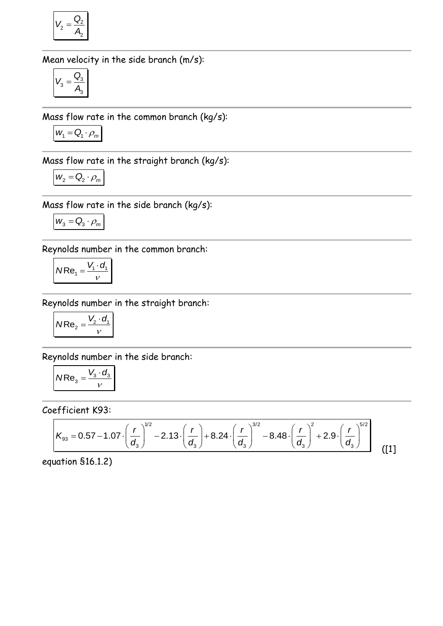$$
V_2 = \frac{Q_2}{A_2}
$$

Mean velocity in the side branch (m/s):

$$
V_3 = \frac{Q_3}{A_3}
$$

Mass flow rate in the common branch (kg/s):

$$
W_1 = \mathbf{Q}_1 \cdot \rho_m
$$

Mass flow rate in the straight branch (kg/s):

$$
W_2 = Q_2 \cdot \rho_m
$$

Mass flow rate in the side branch (kg/s):

$$
\mathbf{W}_{3}=\mathbf{Q}_{3}\cdot\boldsymbol{\rho}_{m}
$$

Reynolds number in the common branch:

$$
NRe_1 = \frac{V_1 \cdot d_1}{V}
$$

Reynolds number in the straight branch:

$$
NRe_2 = \frac{V_2 \cdot d_1}{v}
$$

Reynolds number in the side branch:

$$
NRe_3 = \frac{V_3 \cdot d_3}{V}
$$

Coefficient K93:

$$
\mathcal{E}\text{fficient K93:}
$$
\n
$$
K_{93} = 0.57 - 1.07 \cdot \left(\frac{r}{d_3}\right)^{1/2} - 2.13 \cdot \left(\frac{r}{d_3}\right) + 8.24 \cdot \left(\frac{r}{d_3}\right)^{3/2} - 8.48 \cdot \left(\frac{r}{d_3}\right)^2 + 2.9 \cdot \left(\frac{r}{d_3}\right)^{5/2}
$$
\n[1]

equation §16.1.2)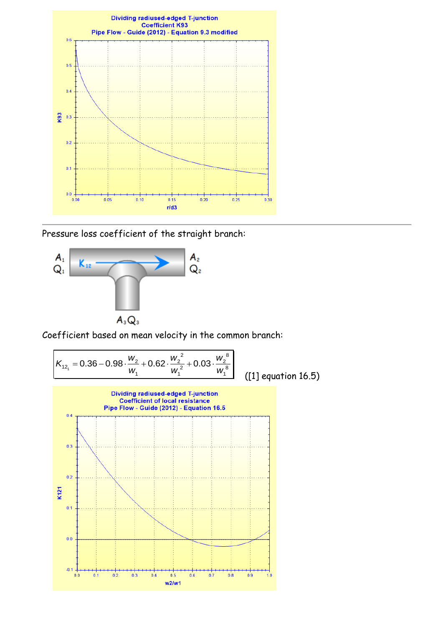

Pressure loss coefficient of the straight branch:



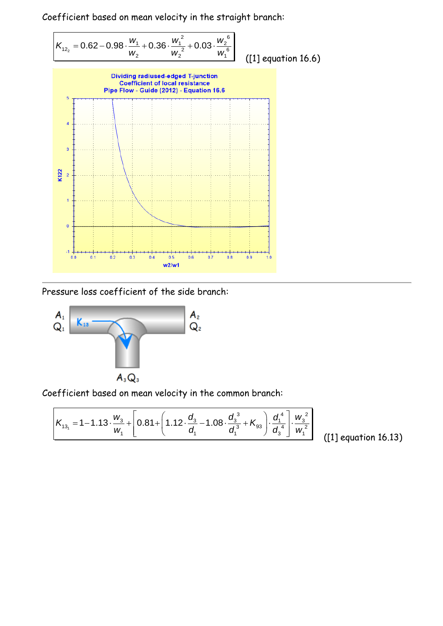

Pressure loss coefficient of the side branch:



Coefficient based on mean velocity in the common branch:  
\n
$$
K_{13_1} = 1 - 1.13 \cdot \frac{w_3}{w_1} + \left[ 0.81 + \left( 1.12 \cdot \frac{d_3}{d_1} - 1.08 \cdot \frac{d_3^3}{d_1^3} + K_{93} \right) \cdot \frac{d_1^4}{d_3^4} \right] \cdot \frac{w_3^2}{w_1^2}
$$
\n[1

([1] equation 16.13)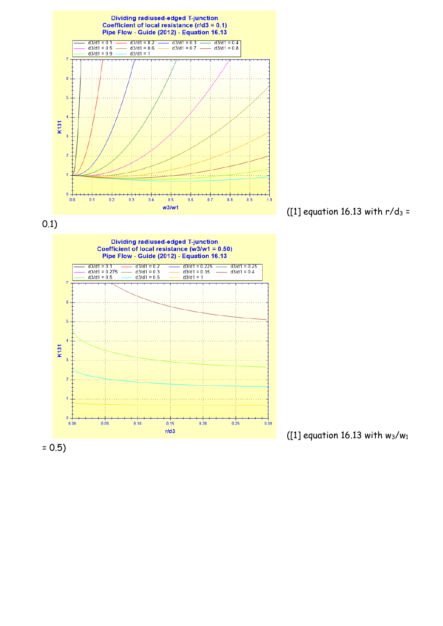



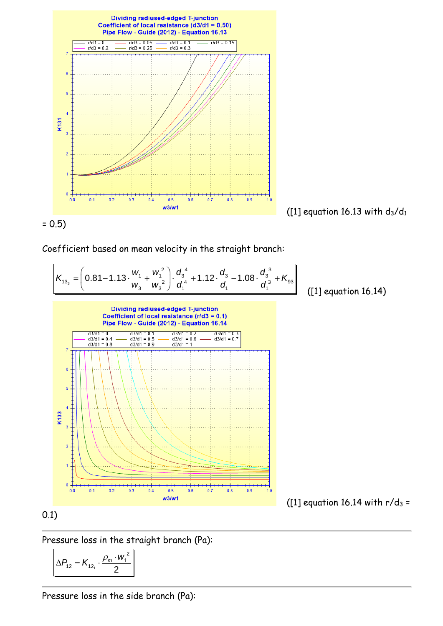

= 0.5)

Coefficient based on mean velocity in the straight branch:  
\n
$$
K_{13_3} = \left(0.81 - 1.13 \cdot \frac{w_1}{w_3} + \frac{w_1^2}{w_3^2}\right) \cdot \frac{d_3^4}{d_1^4} + 1.12 \cdot \frac{d_3^4}{d_1^4} - 1.08 \cdot \frac{d_3^3}{d_1^3} + K_{93}
$$
\n[
$$
\left[\frac{1}{2}\right]
$$

([1] equation 16.14)



## 0.1)

Pressure loss in the straight branch (Pa):

$$
\Delta P_{12} = K_{12_1} \cdot \frac{\rho_m \cdot w_1^2}{2}
$$

Pressure loss in the side branch (Pa):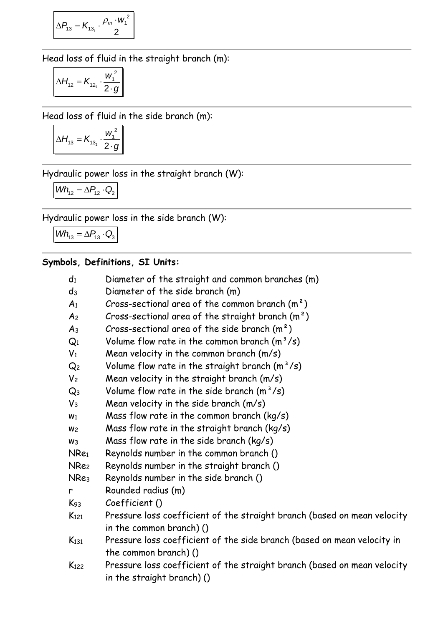$$
\Delta P_{13} = K_{13_1} \cdot \frac{\rho_m \cdot w_1^2}{2}
$$

Head loss of fluid in the straight branch (m):

$$
\Delta H_{12} = K_{12_1} \cdot \frac{w_1^2}{2 \cdot g}
$$

Head loss of fluid in the side branch (m):

$$
\Delta H_{13} = K_{13_1} \cdot \frac{w_1^2}{2 \cdot g}
$$

Hydraulic power loss in the straight branch (W):

$$
\textit{Wh}_{12} = \Delta P_{12} \cdot Q_2
$$

Hydraulic power loss in the side branch (W):

 $Wh_{13} = \Delta P_{13} \cdot Q_3$ 

# **Symbols, Definitions, SI Units:**

| $\mathsf{d}_1$   | Diameter of the straight and common branches (m)                                                       |
|------------------|--------------------------------------------------------------------------------------------------------|
| $d_3$            | Diameter of the side branch (m)                                                                        |
| A <sub>1</sub>   | Cross-sectional area of the common branch $(m2)$                                                       |
| A <sub>2</sub>   | Cross-sectional area of the straight branch $(m^2)$                                                    |
| $A_3$            | Cross-sectional area of the side branch $(m2)$                                                         |
| $Q_1$            | Volume flow rate in the common branch $(m^3/s)$                                                        |
| $V_1$            | Mean velocity in the common branch $(m/s)$                                                             |
| Q2               | Volume flow rate in the straight branch $(m^3/s)$                                                      |
| V <sub>2</sub>   | Mean velocity in the straight branch (m/s)                                                             |
| $\mathsf{Q}_3$   | Volume flow rate in the side branch $(m^3/s)$                                                          |
| $V_3$            | Mean velocity in the side branch $(m/s)$                                                               |
| W <sub>1</sub>   | Mass flow rate in the common branch ( $kg/s$ )                                                         |
| W <sub>2</sub>   | Mass flow rate in the straight branch (kg/s)                                                           |
| W <sub>3</sub>   | Mass flow rate in the side branch ( $kg/s$ )                                                           |
| NRe1             | Reynolds number in the common branch ()                                                                |
| NRe2             | Reynolds number in the straight branch ()                                                              |
| NRe3             | Reynolds number in the side branch ()                                                                  |
| r                | Rounded radius (m)                                                                                     |
| $K_{93}$         | Coefficient ()                                                                                         |
| K <sub>121</sub> | Pressure loss coefficient of the straight branch (based on mean velocity                               |
|                  | in the common branch) ()                                                                               |
| $K_{131}$        | Pressure loss coefficient of the side branch (based on mean velocity in                                |
|                  | the common branch) ()                                                                                  |
| K <sub>122</sub> | Pressure loss coefficient of the straight branch (based on mean velocity<br>in the straight branch) () |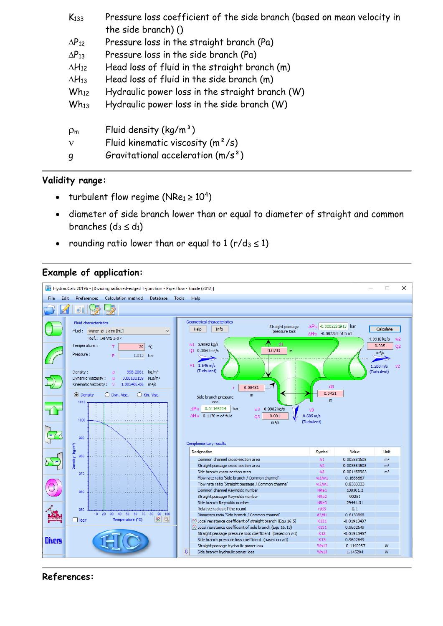| K <sub>133</sub> | Pressure loss coefficient of the side branch (based on mean velocity in |
|------------------|-------------------------------------------------------------------------|
|                  | the side branch) $()$                                                   |
| $\Delta P_{12}$  | Pressure loss in the straight branch (Pa)                               |
| $\Delta P_{13}$  | Pressure loss in the side branch (Pa)                                   |
| $\Delta H_{12}$  | Head loss of fluid in the straight branch (m)                           |
| $\Delta H_{13}$  | Head loss of fluid in the side branch (m)                               |
| $Wh_{12}$        | Hydraulic power loss in the straight branch (W)                         |
| $Wh_{13}$        | Hydraulic power loss in the side branch (W)                             |
| $\rho_{\rm m}$   | Fluid density $(kq/m^3)$                                                |
| $\mathbf{v}$     | Fluid kinematic viscosity $(m^2/s)$                                     |
| g                | Gravitational acceleration $(m/s^2)$                                    |

#### **Validity range:**

- turbulent flow regime ( $NRe_1 \geq 10^4$ )
- diameter of side branch lower than or equal to diameter of straight and common branches  $(d_3 \leq d_1)$
- rounding ratio lower than or equal to  $1 (r/d_3 \le 1)$

## **Example of application:**



**References:**